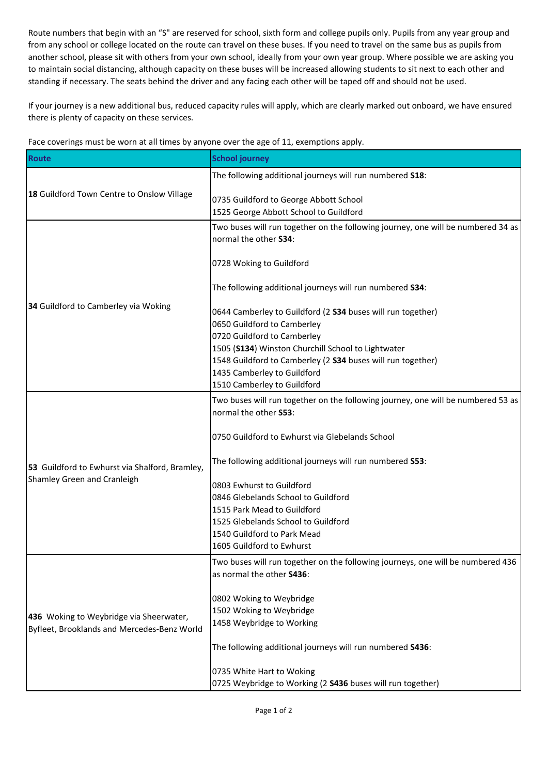Route numbers that begin with an "S" are reserved for school, sixth form and college pupils only. Pupils from any year group and from any school or college located on the route can travel on these buses. If you need to travel on the same bus as pupils from another school, please sit with others from your own school, ideally from your own year group. Where possible we are asking you to maintain social distancing, although capacity on these buses will be increased allowing students to sit next to each other and standing if necessary. The seats behind the driver and any facing each other will be taped off and should not be used.

If your journey is a new additional bus, reduced capacity rules will apply, which are clearly marked out onboard, we have ensured there is plenty of capacity on these services.

| <b>Route</b>                                                                           | <b>School journey</b>                                                                                             |
|----------------------------------------------------------------------------------------|-------------------------------------------------------------------------------------------------------------------|
| 18 Guildford Town Centre to Onslow Village                                             | The following additional journeys will run numbered S18:                                                          |
|                                                                                        | 0735 Guildford to George Abbott School<br>1525 George Abbott School to Guildford                                  |
| 34 Guildford to Camberley via Woking                                                   | Two buses will run together on the following journey, one will be numbered 34 as<br>normal the other S34:         |
|                                                                                        | 0728 Woking to Guildford                                                                                          |
|                                                                                        | The following additional journeys will run numbered S34:                                                          |
|                                                                                        | 0644 Camberley to Guildford (2 S34 buses will run together)<br>0650 Guildford to Camberley                        |
|                                                                                        | 0720 Guildford to Camberley                                                                                       |
|                                                                                        | 1505 (S134) Winston Churchill School to Lightwater<br>1548 Guildford to Camberley (2 S34 buses will run together) |
|                                                                                        | 1435 Camberley to Guildford                                                                                       |
|                                                                                        | 1510 Camberley to Guildford                                                                                       |
| 53 Guildford to Ewhurst via Shalford, Bramley,<br>Shamley Green and Cranleigh          | Two buses will run together on the following journey, one will be numbered 53 as<br>normal the other S53:         |
|                                                                                        | 0750 Guildford to Ewhurst via Glebelands School                                                                   |
|                                                                                        | The following additional journeys will run numbered S53:                                                          |
|                                                                                        | 0803 Ewhurst to Guildford                                                                                         |
|                                                                                        | 0846 Glebelands School to Guildford                                                                               |
|                                                                                        | 1515 Park Mead to Guildford                                                                                       |
|                                                                                        | 1525 Glebelands School to Guildford<br>1540 Guildford to Park Mead                                                |
|                                                                                        | 1605 Guildford to Ewhurst                                                                                         |
| 436 Woking to Weybridge via Sheerwater,<br>Byfleet, Brooklands and Mercedes-Benz World | Two buses will run together on the following journeys, one will be numbered 436                                   |
|                                                                                        | as normal the other S436:                                                                                         |
|                                                                                        | 0802 Woking to Weybridge                                                                                          |
|                                                                                        | 1502 Woking to Weybridge                                                                                          |
|                                                                                        | 1458 Weybridge to Working                                                                                         |
|                                                                                        | The following additional journeys will run numbered S436:                                                         |
|                                                                                        | 0735 White Hart to Woking                                                                                         |
|                                                                                        | 0725 Weybridge to Working (2 S436 buses will run together)                                                        |

Face coverings must be worn at all times by anyone over the age of 11, exemptions apply.